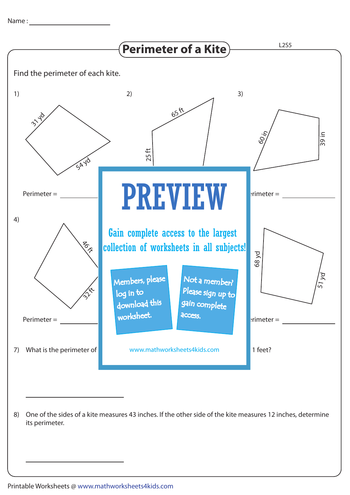

8) One of the sides of a kite measures 43 inches. If the other side of the kite measures 12 inches, determine its perimeter.